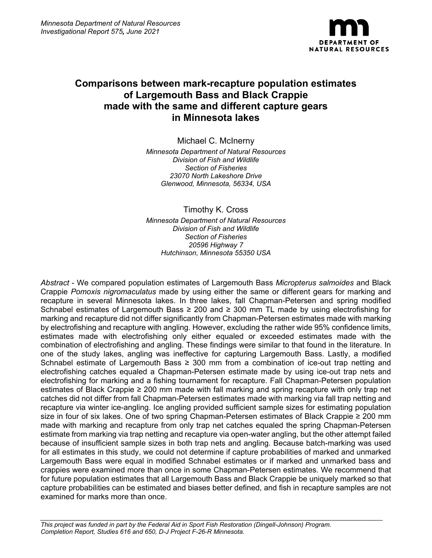

# **Comparisons between mark-recapture population estimates of Largemouth Bass and Black Crappie made with the same and different capture gears in Minnesota lakes**

Michael C. McInerny

*Minnesota Department of Natural Resources Division of Fish and Wildlife Section of Fisheries 23070 North Lakeshore Drive Glenwood, Minnesota, 56334, USA*

Timothy K. Cross

*Minnesota Department of Natural Resources Division of Fish and Wildlife Section of Fisheries 20596 Highway 7 Hutchinson, Minnesota 55350 USA*

*Abstract* - We compared population estimates of Largemouth Bass *Micropterus salmoides* and Black Crappie *Pomoxis nigromaculatus* made by using either the same or different gears for marking and recapture in several Minnesota lakes. In three lakes, fall Chapman-Petersen and spring modified Schnabel estimates of Largemouth Bass ≥ 200 and ≥ 300 mm TL made by using electrofishing for marking and recapture did not differ significantly from Chapman-Petersen estimates made with marking by electrofishing and recapture with angling. However, excluding the rather wide 95% confidence limits, estimates made with electrofishing only either equaled or exceeded estimates made with the combination of electrofishing and angling. These findings were similar to that found in the literature. In one of the study lakes, angling was ineffective for capturing Largemouth Bass. Lastly, a modified Schnabel estimate of Largemouth Bass ≥ 300 mm from a combination of ice-out trap netting and electrofishing catches equaled a Chapman-Petersen estimate made by using ice-out trap nets and electrofishing for marking and a fishing tournament for recapture. Fall Chapman-Petersen population estimates of Black Crappie ≥ 200 mm made with fall marking and spring recapture with only trap net catches did not differ from fall Chapman-Petersen estimates made with marking via fall trap netting and recapture via winter ice-angling. Ice angling provided sufficient sample sizes for estimating population size in four of six lakes. One of two spring Chapman-Petersen estimates of Black Crappie ≥ 200 mm made with marking and recapture from only trap net catches equaled the spring Chapman-Petersen estimate from marking via trap netting and recapture via open-water angling, but the other attempt failed because of insufficient sample sizes in both trap nets and angling. Because batch-marking was used for all estimates in this study, we could not determine if capture probabilities of marked and unmarked Largemouth Bass were equal in modified Schnabel estimates or if marked and unmarked bass and crappies were examined more than once in some Chapman-Petersen estimates. We recommend that for future population estimates that all Largemouth Bass and Black Crappie be uniquely marked so that capture probabilities can be estimated and biases better defined, and fish in recapture samples are not examined for marks more than once.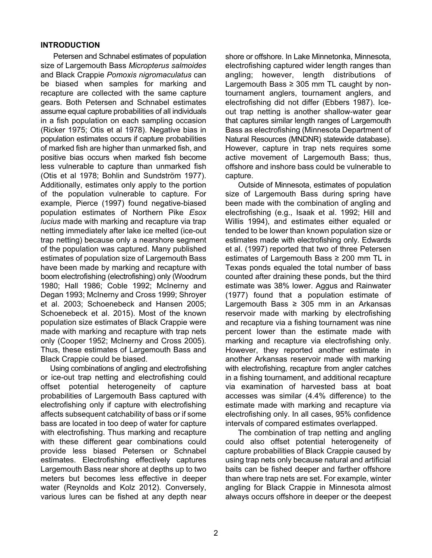#### **INTRODUCTION**

Petersen and Schnabel estimates of population size of Largemouth Bass *Micropterus salmoides* and Black Crappie *Pomoxis nigromaculatus* can be biased when samples for marking and recapture are collected with the same capture gears. Both Petersen and Schnabel estimates assume equal capture probabilities of all individuals in a fish population on each sampling occasion (Ricker 1975; Otis et al 1978). Negative bias in population estimates occurs if capture probabilities of marked fish are higher than unmarked fish, and positive bias occurs when marked fish become less vulnerable to capture than unmarked fish (Otis et al 1978; Bohlin and Sundström 1977). Additionally, estimates only apply to the portion of the population vulnerable to capture. For example, Pierce (1997) found negative-biased population estimates of Northern Pike *Esox lucius* made with marking and recapture via trap netting immediately after lake ice melted (ice-out trap netting) because only a nearshore segment of the population was captured. Many published estimates of population size of Largemouth Bass have been made by marking and recapture with boom electrofishing (electrofishing) only (Woodrum 1980; Hall 1986; Coble 1992; McInerny and Degan 1993; McInerny and Cross 1999; Shroyer et al. 2003; Schoenebeck and Hansen 2005; Schoenebeck et al. 2015). Most of the known population size estimates of Black Crappie were made with marking and recapture with trap nets only (Cooper 1952; McInerny and Cross 2005). Thus, these estimates of Largemouth Bass and Black Crappie could be biased.

Using combinations of angling and electrofishing or ice-out trap netting and electrofishing could offset potential heterogeneity of capture probabilities of Largemouth Bass captured with electrofishing only if capture with electrofishing affects subsequent catchability of bass or if some bass are located in too deep of water for capture with electrofishing. Thus marking and recapture with these different gear combinations could provide less biased Petersen or Schnabel estimates. Electrofishing effectively captures Largemouth Bass near shore at depths up to two meters but becomes less effective in deeper water (Reynolds and Kolz 2012). Conversely, various lures can be fished at any depth near

shore or offshore. In Lake Minnetonka, Minnesota, electrofishing captured wider length ranges than angling; however, length distributions of Largemouth Bass  $\geq$  305 mm TL caught by nontournament anglers, tournament anglers, and electrofishing did not differ (Ebbers 1987). Iceout trap netting is another shallow-water gear that captures similar length ranges of Largemouth Bass as electrofishing (Minnesota Department of Natural Resources (MNDNR) statewide database). However, capture in trap nets requires some active movement of Largemouth Bass; thus, offshore and inshore bass could be vulnerable to capture.

Outside of Minnesota, estimates of population size of Largemouth Bass during spring have been made with the combination of angling and electrofishing (e.g., Isaak et al. 1992; Hill and Willis 1994), and estimates either equaled or tended to be lower than known population size or estimates made with electrofishing only. Edwards et al. (1997) reported that two of three Petersen estimates of Largemouth Bass ≥ 200 mm TL in Texas ponds equaled the total number of bass counted after draining these ponds, but the third estimate was 38% lower. Aggus and Rainwater (1977) found that a population estimate of Largemouth Bass  $\geq$  305 mm in an Arkansas reservoir made with marking by electrofishing and recapture via a fishing tournament was nine percent lower than the estimate made with marking and recapture via electrofishing only. However, they reported another estimate in another Arkansas reservoir made with marking with electrofishing, recapture from angler catches in a fishing tournament, and additional recapture via examination of harvested bass at boat accesses was similar (4.4% difference) to the estimate made with marking and recapture via electrofishing only. In all cases, 95% confidence intervals of compared estimates overlapped.

The combination of trap netting and angling could also offset potential heterogeneity of capture probabilities of Black Crappie caused by using trap nets only because natural and artificial baits can be fished deeper and farther offshore than where trap nets are set. For example, winter angling for Black Crappie in Minnesota almost always occurs offshore in deeper or the deepest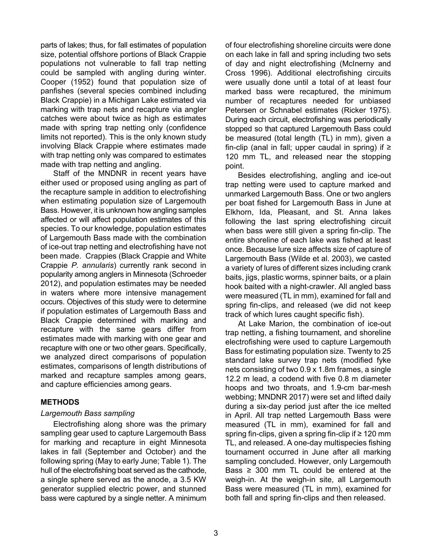parts of lakes; thus, for fall estimates of population size, potential offshore portions of Black Crappie populations not vulnerable to fall trap netting could be sampled with angling during winter. Cooper (1952) found that population size of panfishes (several species combined including Black Crappie) in a Michigan Lake estimated via marking with trap nets and recapture via angler catches were about twice as high as estimates made with spring trap netting only (confidence limits not reported). This is the only known study involving Black Crappie where estimates made with trap netting only was compared to estimates made with trap netting and angling.

Staff of the MNDNR in recent years have either used or proposed using angling as part of the recapture sample in addition to electrofishing when estimating population size of Largemouth Bass. However, it is unknown how angling samples affected or will affect population estimates of this species. To our knowledge, population estimates of Largemouth Bass made with the combination of ice-out trap netting and electrofishing have not been made. Crappies (Black Crappie and White Crappie *P. annularis*) currently rank second in popularity among anglers in Minnesota (Schroeder 2012), and population estimates may be needed in waters where more intensive management occurs. Objectives of this study were to determine if population estimates of Largemouth Bass and Black Crappie determined with marking and recapture with the same gears differ from estimates made with marking with one gear and recapture with one or two other gears. Specifically, we analyzed direct comparisons of population estimates, comparisons of length distributions of marked and recapture samples among gears, and capture efficiencies among gears.

#### **METHODS**

#### *Largemouth Bass sampling*

Electrofishing along shore was the primary sampling gear used to capture Largemouth Bass for marking and recapture in eight Minnesota lakes in fall (September and October) and the following spring (May to early June; Table 1). The hull of the electrofishing boat served as the cathode, a single sphere served as the anode, a 3.5 KW generator supplied electric power, and stunned bass were captured by a single netter. A minimum

of four electrofishing shoreline circuits were done on each lake in fall and spring including two sets of day and night electrofishing (McInerny and Cross 1996). Additional electrofishing circuits were usually done until a total of at least four marked bass were recaptured, the minimum number of recaptures needed for unbiased Petersen or Schnabel estimates (Ricker 1975). During each circuit, electrofishing was periodically stopped so that captured Largemouth Bass could be measured (total length (TL) in mm), given a fin-clip (anal in fall; upper caudal in spring) if  $\geq$ 120 mm TL, and released near the stopping point.

Besides electrofishing, angling and ice-out trap netting were used to capture marked and unmarked Largemouth Bass. One or two anglers per boat fished for Largemouth Bass in June at Elkhorn, Ida, Pleasant, and St. Anna lakes following the last spring electrofishing circuit when bass were still given a spring fin-clip. The entire shoreline of each lake was fished at least once. Because lure size affects size of capture of Largemouth Bass (Wilde et al. 2003), we casted a variety of lures of different sizes including crank baits, jigs, plastic worms, spinner baits, or a plain hook baited with a night-crawler. All angled bass were measured (TL in mm), examined for fall and spring fin-clips, and released (we did not keep track of which lures caught specific fish).

At Lake Marion, the combination of ice-out trap netting, a fishing tournament, and shoreline electrofishing were used to capture Largemouth Bass for estimating population size. Twenty to 25 standard lake survey trap nets (modified fyke nets consisting of two 0.9 x 1.8m frames, a single 12.2 m lead, a codend with five 0.8 m diameter hoops and two throats, and 1.9-cm bar-mesh webbing; MNDNR 2017) were set and lifted daily during a six-day period just after the ice melted in April. All trap netted Largemouth Bass were measured (TL in mm), examined for fall and spring fin-clips, given a spring fin-clip if ≥ 120 mm TL, and released. A one-day multispecies fishing tournament occurred in June after all marking sampling concluded. However, only Largemouth Bass  $\geq$  300 mm TL could be entered at the weigh-in. At the weigh-in site, all Largemouth Bass were measured (TL in mm), examined for both fall and spring fin-clips and then released.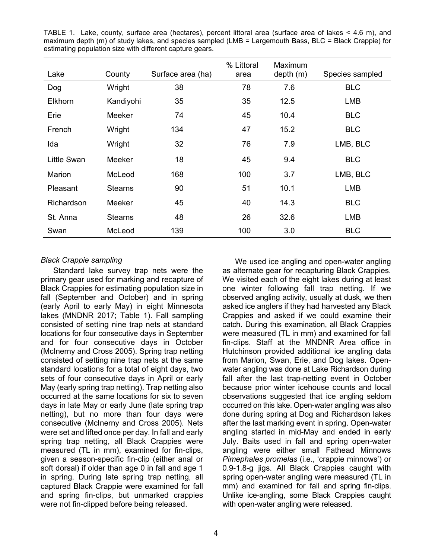| Lake               | County         | Surface area (ha) | % Littoral<br>area | Maximum<br>depth(m) | Species sampled |
|--------------------|----------------|-------------------|--------------------|---------------------|-----------------|
| Dog                | Wright         | 38                | 78                 | 7.6                 | <b>BLC</b>      |
| <b>Elkhorn</b>     | Kandiyohi      | 35                | 35                 | 12.5                | LMB             |
| Erie               | <b>Meeker</b>  | 74                | 45                 | 10.4                | <b>BLC</b>      |
| French             | Wright         | 134               | 47                 | 15.2                | <b>BLC</b>      |
| Ida                | Wright         | 32                | 76                 | 7.9                 | LMB, BLC        |
| <b>Little Swan</b> | <b>Meeker</b>  | 18                | 45                 | 9.4                 | <b>BLC</b>      |
| Marion             | McLeod         | 168               | 100                | 3.7                 | LMB, BLC        |
| Pleasant           | <b>Stearns</b> | 90                | 51                 | 10.1                | <b>LMB</b>      |
| Richardson         | <b>Meeker</b>  | 45                | 40                 | 14.3                | <b>BLC</b>      |
| St. Anna           | <b>Stearns</b> | 48                | 26                 | 32.6                | <b>LMB</b>      |
| Swan               | McLeod         | 139               | 100                | 3.0                 | <b>BLC</b>      |

TABLE 1. Lake, county, surface area (hectares), percent littoral area (surface area of lakes < 4.6 m), and maximum depth (m) of study lakes, and species sampled (LMB = Largemouth Bass, BLC = Black Crappie) for estimating population size with different capture gears.

#### *Black Crappie sampling*

Standard lake survey trap nets were the primary gear used for marking and recapture of Black Crappies for estimating population size in fall (September and October) and in spring (early April to early May) in eight Minnesota lakes (MNDNR 2017; Table 1). Fall sampling consisted of setting nine trap nets at standard locations for four consecutive days in September and for four consecutive days in October (McInerny and Cross 2005). Spring trap netting consisted of setting nine trap nets at the same standard locations for a total of eight days, two sets of four consecutive days in April or early May (early spring trap netting). Trap netting also occurred at the same locations for six to seven days in late May or early June (late spring trap netting), but no more than four days were consecutive (McInerny and Cross 2005). Nets were set and lifted once per day. In fall and early spring trap netting, all Black Crappies were measured (TL in mm), examined for fin-clips, given a season-specific fin-clip (either anal or soft dorsal) if older than age 0 in fall and age 1 in spring. During late spring trap netting, all captured Black Crappie were examined for fall and spring fin-clips, but unmarked crappies were not fin-clipped before being released.

We used ice angling and open-water angling as alternate gear for recapturing Black Crappies. We visited each of the eight lakes during at least one winter following fall trap netting. If we observed angling activity, usually at dusk, we then asked ice anglers if they had harvested any Black Crappies and asked if we could examine their catch. During this examination, all Black Crappies were measured (TL in mm) and examined for fall fin-clips. Staff at the MNDNR Area office in Hutchinson provided additional ice angling data from Marion, Swan, Erie, and Dog lakes. Openwater angling was done at Lake Richardson during fall after the last trap-netting event in October because prior winter icehouse counts and local observations suggested that ice angling seldom occurred on this lake. Open-water angling was also done during spring at Dog and Richardson lakes after the last marking event in spring. Open-water angling started in mid-May and ended in early July. Baits used in fall and spring open-water angling were either small Fathead Minnows *Pimephales promelas* (i.e., 'crappie minnows') or 0.9-1.8-g jigs. All Black Crappies caught with spring open-water angling were measured (TL in mm) and examined for fall and spring fin-clips. Unlike ice-angling, some Black Crappies caught with open-water angling were released.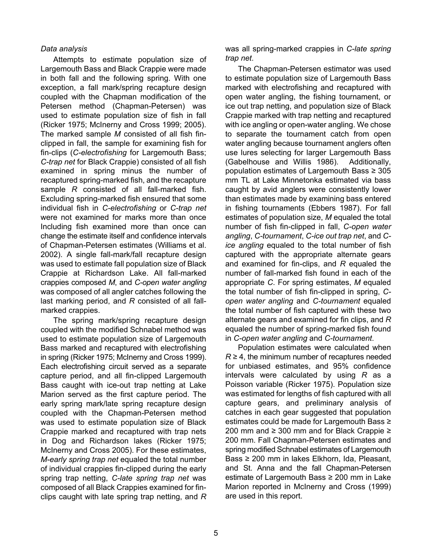### *Data analysis*

Attempts to estimate population size of Largemouth Bass and Black Crappie were made in both fall and the following spring. With one exception, a fall mark/spring recapture design coupled with the Chapman modification of the Petersen method (Chapman-Petersen) was used to estimate population size of fish in fall (Ricker 1975; McInerny and Cross 1999; 2005). The marked sample *M* consisted of all fish finclipped in fall, the sample for examining fish for fin-clips (*C-electrofishing* for Largemouth Bass; *C-trap net* for Black Crappie) consisted of all fish examined in spring minus the number of recaptured spring-marked fish, and the recapture sample *R* consisted of all fall-marked fish. Excluding spring-marked fish ensured that some individual fish in *C-electrofishing* or *C-trap net* were not examined for marks more than once Including fish examined more than once can change the estimate itself and confidence intervals of Chapman-Petersen estimates (Williams et al. 2002). A single fall-mark/fall recapture design was used to estimate fall population size of Black Crappie at Richardson Lake. All fall-marked crappies composed *M*, and *C-open water angling* was composed of all angler catches following the last marking period, and *R* consisted of all fallmarked crappies.

The spring mark/spring recapture design coupled with the modified Schnabel method was used to estimate population size of Largemouth Bass marked and recaptured with electrofishing in spring (Ricker 1975; McInerny and Cross 1999). Each electrofishing circuit served as a separate capture period, and all fin-clipped Largemouth Bass caught with ice-out trap netting at Lake Marion served as the first capture period. The early spring mark/late spring recapture design coupled with the Chapman-Petersen method was used to estimate population size of Black Crappie marked and recaptured with trap nets in Dog and Richardson lakes (Ricker 1975; McInerny and Cross 2005). For these estimates, *M-early spring trap net* equaled the total number of individual crappies fin-clipped during the early spring trap netting, *C-late spring trap net* was composed of all Black Crappies examined for finclips caught with late spring trap netting, and *R*  was all spring-marked crappies in *C-late spring trap net*.

The Chapman-Petersen estimator was used to estimate population size of Largemouth Bass marked with electrofishing and recaptured with open water angling, the fishing tournament, or ice out trap netting, and population size of Black Crappie marked with trap netting and recaptured with ice angling or open-water angling. We chose to separate the tournament catch from open water angling because tournament anglers often use lures selecting for larger Largemouth Bass (Gabelhouse and Willis 1986). Additionally, population estimates of Largemouth Bass ≥ 305 mm TL at Lake Minnetonka estimated via bass caught by avid anglers were consistently lower than estimates made by examining bass entered in fishing tournaments (Ebbers 1987). For fall estimates of population size, *M* equaled the total number of fish fin-clipped in fall, *C-open water angling*, *C-tournament*, *C-ice out trap net*, and *Cice angling* equaled to the total number of fish captured with the appropriate alternate gears and examined for fin-clips, and *R* equaled the number of fall-marked fish found in each of the appropriate *C*. For spring estimates, *M* equaled the total number of fish fin-clipped in spring, *Copen water angling* and *C-tournament* equaled the total number of fish captured with these two alternate gears and examined for fin clips, and *R* equaled the number of spring-marked fish found in *C-open water angling* and *C-tournament*.

Population estimates were calculated when  $R \geq 4$ , the minimum number of recaptures needed for unbiased estimates, and 95% confidence intervals were calculated by using *R* as a Poisson variable (Ricker 1975). Population size was estimated for lengths of fish captured with all capture gears, and preliminary analysis of catches in each gear suggested that population estimates could be made for Largemouth Bass ≥ 200 mm and ≥ 300 mm and for Black Crappie ≥ 200 mm. Fall Chapman-Petersen estimates and spring modified Schnabel estimates of Largemouth Bass ≥ 200 mm in lakes Elkhorn, Ida, Pleasant, and St. Anna and the fall Chapman-Petersen estimate of Largemouth Bass ≥ 200 mm in Lake Marion reported in McInerny and Cross (1999) are used in this report.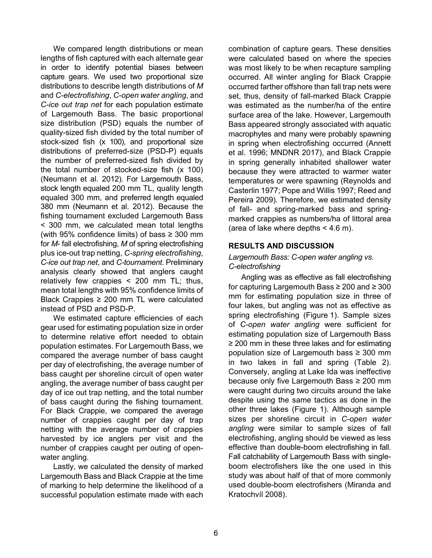We compared length distributions or mean lengths of fish captured with each alternate gear in order to identify potential biases between capture gears. We used two proportional size distributions to describe length distributions of *M*  and *C-electrofishing*, *C-open water angling*, and *C-ice out trap net* for each population estimate of Largemouth Bass. The basic proportional size distribution (PSD) equals the number of quality-sized fish divided by the total number of stock-sized fish (x 100), and proportional size distributions of preferred-size (PSD-P) equals the number of preferred-sized fish divided by the total number of stocked-size fish (x 100) (Neumann et al. 2012). For Largemouth Bass, stock length equaled 200 mm TL, quality length equaled 300 mm, and preferred length equaled 380 mm (Neumann et al. 2012). Because the fishing tournament excluded Largemouth Bass < 300 mm, we calculated mean total lengths (with 95% confidence limits) of bass  $\geq$  300 mm for *M*- fall electrofishing, *M* of spring electrofishing plus ice-out trap netting, *C-spring electrofishing*, *C-ice out trap net*, and *C-tournament*. Preliminary analysis clearly showed that anglers caught relatively few crappies < 200 mm TL; thus, mean total lengths with 95% confidence limits of Black Crappies ≥ 200 mm TL were calculated instead of PSD and PSD-P.

We estimated capture efficiencies of each gear used for estimating population size in order to determine relative effort needed to obtain population estimates. For Largemouth Bass, we compared the average number of bass caught per day of electrofishing, the average number of bass caught per shoreline circuit of open water angling, the average number of bass caught per day of ice out trap netting, and the total number of bass caught during the fishing tournament. For Black Crappie, we compared the average number of crappies caught per day of trap netting with the average number of crappies harvested by ice anglers per visit and the number of crappies caught per outing of openwater angling.

Lastly, we calculated the density of marked Largemouth Bass and Black Crappie at the time of marking to help determine the likelihood of a successful population estimate made with each

combination of capture gears. These densities were calculated based on where the species was most likely to be when recapture sampling occurred. All winter angling for Black Crappie occurred farther offshore than fall trap nets were set, thus, density of fall-marked Black Crappie was estimated as the number/ha of the entire surface area of the lake. However, Largemouth Bass appeared strongly associated with aquatic macrophytes and many were probably spawning in spring when electrofishing occurred (Annett et al. 1996; MNDNR 2017), and Black Crappie in spring generally inhabited shallower water because they were attracted to warmer water temperatures or were spawning (Reynolds and Casterlin 1977; Pope and Willis 1997; Reed and Pereira 2009). Therefore, we estimated density of fall- and spring-marked bass and springmarked crappies as numbers/ha of littoral area (area of lake where depths  $<$  4.6 m).

### **RESULTS AND DISCUSSION**

### *Largemouth Bass: C-open water angling vs. C-electrofishing*

Angling was as effective as fall electrofishing for capturing Largemouth Bass ≥ 200 and ≥ 300 mm for estimating population size in three of four lakes, but angling was not as effective as spring electrofishing (Figure 1). Sample sizes of *C-open water angling* were sufficient for estimating population size of Largemouth Bass ≥ 200 mm in these three lakes and for estimating population size of Largemouth bass ≥ 300 mm in two lakes in fall and spring (Table 2). Conversely, angling at Lake Ida was ineffective because only five Largemouth Bass ≥ 200 mm were caught during two circuits around the lake despite using the same tactics as done in the other three lakes (Figure 1). Although sample sizes per shoreline circuit in *C-open water angling* were similar to sample sizes of fall electrofishing, angling should be viewed as less effective than double-boom electrofishing in fall. Fall catchability of Largemouth Bass with singleboom electrofishers like the one used in this study was about half of that of more commonly used double-boom electrofishers (Miranda and Kratochvíl 2008).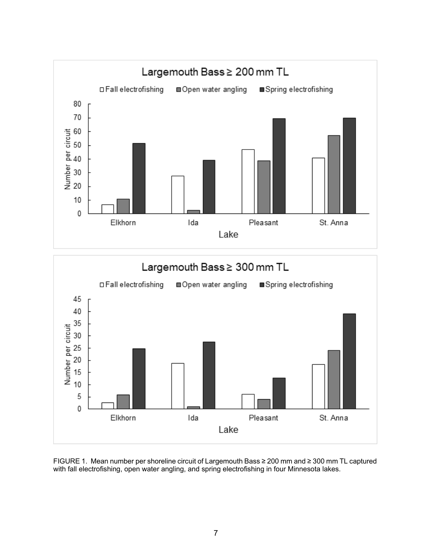

FIGURE 1. Mean number per shoreline circuit of Largemouth Bass ≥ 200 mm and ≥ 300 mm TL captured with fall electrofishing, open water angling, and spring electrofishing in four Minnesota lakes.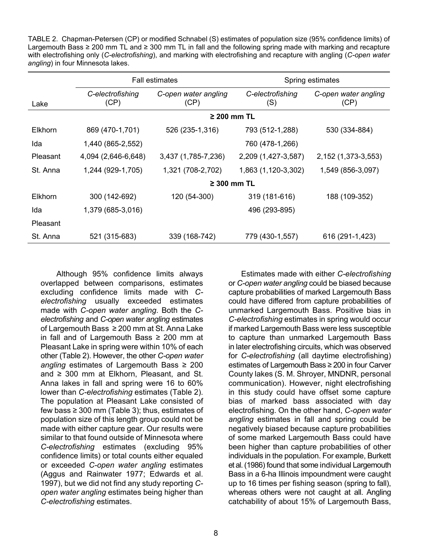TABLE 2. Chapman-Petersen (CP) or modified Schnabel (S) estimates of population size (95% confidence limits) of Largemouth Bass ≥ 200 mm TL and ≥ 300 mm TL in fall and the following spring made with marking and recapture with electrofishing only (*C-electrofishing*), and marking with electrofishing and recapture with angling (*C-open water angling*) in four Minnesota lakes.

|          | <b>Fall estimates</b>    |                              | Spring estimates        |                              |  |  |
|----------|--------------------------|------------------------------|-------------------------|------------------------------|--|--|
| Lake     | C-electrofishing<br>(CP) | C-open water angling<br>(CP) | C-electrofishing<br>(S) | C-open water angling<br>(CP) |  |  |
|          | $\geq$ 200 mm TL         |                              |                         |                              |  |  |
| Elkhorn  | 869 (470-1,701)          | 526 (235-1,316)              | 793 (512-1,288)         | 530 (334-884)                |  |  |
| Ida      | 1,440 (865-2,552)        |                              | 760 (478-1,266)         |                              |  |  |
| Pleasant | 4,094 (2,646-6,648)      | 3,437 (1,785-7,236)          | 2,209 (1,427-3,587)     | 2, 152 (1, 373 - 3, 553)     |  |  |
| St. Anna | 1,244 (929-1,705)        | 1,321 (708-2,702)            | 1,863 (1,120-3,302)     | 1,549 (856-3,097)            |  |  |
|          | $\geq$ 300 mm TL         |                              |                         |                              |  |  |
| Elkhorn  | 300 (142-692)            | 120 (54-300)                 | 319 (181-616)           | 188 (109-352)                |  |  |
| Ida      | 1,379 (685-3,016)        |                              | 496 (293-895)           |                              |  |  |
| Pleasant |                          |                              |                         |                              |  |  |
| St. Anna | 521 (315-683)            | 339 (168-742)                | 779 (430-1,557)         | 616 (291-1,423)              |  |  |

Although 95% confidence limits always overlapped between comparisons, estimates excluding confidence limits made with *Celectrofishing* usually exceeded estimates made with *C-open water angling*. Both the *Celectrofishing* and *C-open water angling* estimates of Largemouth Bass ≥ 200 mm at St. Anna Lake in fall and of Largemouth Bass  $\geq 200$  mm at Pleasant Lake in spring were within 10% of each other (Table 2). However, the other *C-open water angling* estimates of Largemouth Bass ≥ 200 and ≥ 300 mm at Elkhorn, Pleasant, and St. Anna lakes in fall and spring were 16 to 60% lower than *C-electrofishing* estimates (Table 2). The population at Pleasant Lake consisted of few bass  $\geq$  300 mm (Table 3); thus, estimates of population size of this length group could not be made with either capture gear. Our results were similar to that found outside of Minnesota where *C-electrofishing* estimates (excluding 95% confidence limits) or total counts either equaled or exceeded *C-open water angling* estimates (Aggus and Rainwater 1977; Edwards et al. 1997), but we did not find any study reporting *Copen water angling* estimates being higher than *C-electrofishing* estimates.

Estimates made with either *C-electrofishing* or *C-open water angling* could be biased because capture probabilities of marked Largemouth Bass could have differed from capture probabilities of unmarked Largemouth Bass. Positive bias in *C-electrofishing* estimates in spring would occur if marked Largemouth Bass were less susceptible to capture than unmarked Largemouth Bass in later electrofishing circuits, which was observed for *C-electrofishing* (all daytime electrofishing) estimates of Largemouth Bass ≥ 200 in four Carver County lakes (S. M. Shroyer, MNDNR, personal communication). However, night electrofishing in this study could have offset some capture bias of marked bass associated with day electrofishing. On the other hand, *C-open water angling* estimates in fall and spring could be negatively biased because capture probabilities of some marked Largemouth Bass could have been higher than capture probabilities of other individuals in the population. For example, Burkett et al. (1986) found that some individual Largemouth Bass in a 6-ha Illinois impoundment were caught up to 16 times per fishing season (spring to fall), whereas others were not caught at all. Angling catchability of about 15% of Largemouth Bass,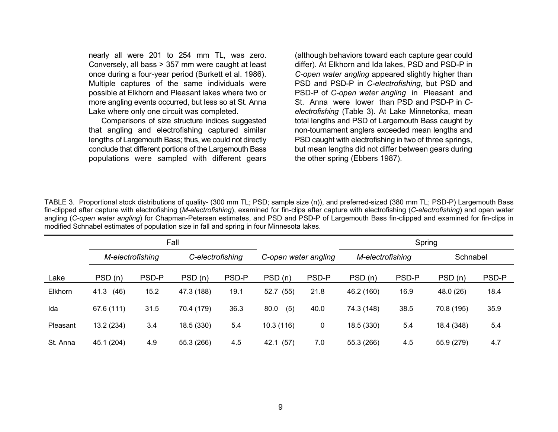nearly all were 201 to 254 mm TL, was zero. Conversely, all bass > 357 mm were caught at least once during a four-year period (Burkett et al. 1986). Multiple captures of the same individuals were possible at Elkhorn and Pleasant lakes where two or more angling events occurred, but less so at St. Anna Lake where only one circuit was completed.

Comparisons of size structure indices suggested that angling and electrofishing captured similar lengths of Largemouth Bass; thus, we could not directly conclude that different portions of the Largemouth Bass populations were sampled with different gears

(although behaviors toward each capture gear could differ). At Elkhorn and Ida lakes, PSD and PSD-P in *C-open water angling* appeared slightly higher than PSD and PSD-P in *C-electrofishing*, but PSD and PSD-P of *C-open water angling* in Pleasant and St. Anna were lower than PSD and PSD-P in *Celectrofishing* (Table 3). At Lake Minnetonka, mean total lengths and PSD of Largemouth Bass caught by non-tournament anglers exceeded mean lengths and PSD caught with electrofishing in two of three springs, but mean lengths did not differ between gears during the other spring (Ebbers 1987).

TABLE 3. Proportional stock distributions of quality- (300 mm TL; PSD; sample size (n)), and preferred-sized (380 mm TL; PSD-P) Largemouth Bass fin-clipped after capture with electrofishing (*M-electrofishing*), examined for fin-clips after capture with electrofishing (*C-electrofishing*) and open water angling (*C-open water angling*) for Chapman-Petersen estimates, and PSD and PSD-P of Largemouth Bass fin-clipped and examined for fin-clips in modified Schnabel estimates of population size in fall and spring in four Minnesota lakes.

|          | Fall             |       |                  |       |                      |       | Spring           |       |            |       |
|----------|------------------|-------|------------------|-------|----------------------|-------|------------------|-------|------------|-------|
|          | M-electrofishing |       | C-electrofishing |       | C-open water angling |       | M-electrofishing |       | Schnabel   |       |
| _ake     | PSD(n)           | PSD-P | PSD(n)           | PSD-P | PSD(n)               | PSD-P | PSD(n)           | PSD-P | PSD(n)     | PSD-P |
| Elkhorn  | (46)<br>41.3     | 15.2  | 47.3 (188)       | 19.1  | 52.7 (55)            | 21.8  | 46.2 (160)       | 16.9  | 48.0 (26)  | 18.4  |
| Ida      | 67.6 (111)       | 31.5  | 70.4 (179)       | 36.3  | (5)<br>80.0          | 40.0  | 74.3 (148)       | 38.5  | 70.8 (195) | 35.9  |
| Pleasant | 13.2 (234)       | 3.4   | 18.5 (330)       | 5.4   | 10.3(116)            | 0     | 18.5 (330)       | 5.4   | 18.4 (348) | 5.4   |
| St. Anna | 45.1 (204)       | 4.9   | 55.3 (266)       | 4.5   | (57)<br>42.1         | 7.0   | 55.3 (266)       | 4.5   | 55.9 (279) | 4.7   |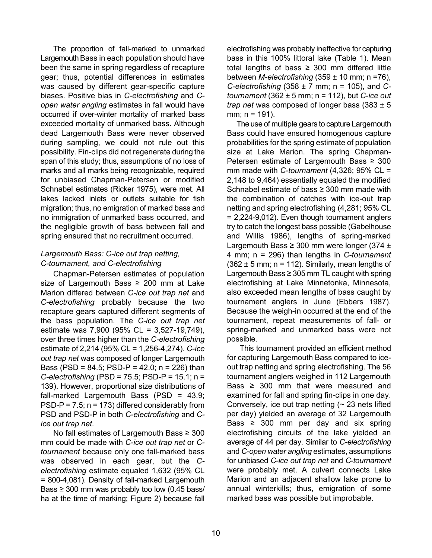The proportion of fall-marked to unmarked Largemouth Bass in each population should have been the same in spring regardless of recapture gear; thus, potential differences in estimates was caused by different gear-specific capture biases. Positive bias in *C-electrofishing* and *Copen water angling* estimates in fall would have occurred if over-winter mortality of marked bass exceeded mortality of unmarked bass. Although dead Largemouth Bass were never observed during sampling, we could not rule out this possibility. Fin-clips did not regenerate during the span of this study; thus, assumptions of no loss of marks and all marks being recognizable, required for unbiased Chapman-Petersen or modified Schnabel estimates (Ricker 1975), were met. All lakes lacked inlets or outlets suitable for fish migration; thus, no emigration of marked bass and no immigration of unmarked bass occurred, and the negligible growth of bass between fall and spring ensured that no recruitment occurred.

### *Largemouth Bass: C-ice out trap netting, C-tournament, and C-electrofishing*

Chapman-Petersen estimates of population size of Largemouth Bass  $\geq 200$  mm at Lake Marion differed between *C-ice out trap net* and *C-electrofishing* probably because the two recapture gears captured different segments of the bass population. The *C-ice out trap net* estimate was 7,900 (95% CL = 3,527-19,749), over three times higher than the *C-electrofishing* estimate of 2,214 (95% CL = 1,256-4,274). *C-ice out trap net* was composed of longer Largemouth Bass (PSD =  $84.5$ ; PSD-P =  $42.0$ ; n =  $226$ ) than *C-electrofishing* (PSD = 75.5; PSD-P = 15.1; n = 139). However, proportional size distributions of fall-marked Largemouth Bass (PSD = 43.9; PSD-P =  $7.5$ ; n = 173) differed considerably from PSD and PSD-P in both *C-electrofishing* and *Cice out trap net*.

No fall estimates of Largemouth Bass ≥ 300 mm could be made with *C-ice out trap net* or *Ctournament* because only one fall-marked bass was observed in each gear, but the *Celectrofishing* estimate equaled 1,632 (95% CL = 800-4,081). Density of fall-marked Largemouth Bass  $\geq$  300 mm was probably too low (0.45 bass/ ha at the time of marking; Figure 2) because fall

electrofishing was probably ineffective for capturing bass in this 100% littoral lake (Table 1). Mean total lengths of bass  $\geq$  300 mm differed little between *M-electrofishing* (359 ± 10 mm; n =76), *C-electrofishing* (358 ± 7 mm; n = 105), and *Ctournament* (362 ± 5 mm; n = 112), but *C-ice out trap net* was composed of longer bass (383 ± 5 mm; n = 191).

The use of multiple gears to capture Largemouth Bass could have ensured homogenous capture probabilities for the spring estimate of population size at Lake Marion. The spring Chapman-Petersen estimate of Largemouth Bass ≥ 300 mm made with *C-tournament* (4,326; 95% CL = 2,148 to 9,464) essentially equaled the modified Schnabel estimate of bass ≥ 300 mm made with the combination of catches with ice-out trap netting and spring electrofishing (4,281; 95% CL = 2,224-9,012). Even though tournament anglers try to catch the longest bass possible (Gabelhouse and Willis 1986), lengths of spring-marked Largemouth Bass  $\geq$  300 mm were longer (374  $\pm$ 4 mm; n = 296) than lengths in *C-tournament*  $(362 \pm 5$  mm; n = 112). Similarly, mean lengths of Largemouth Bass  $\geq$  305 mm TL caught with spring electrofishing at Lake Minnetonka, Minnesota, also exceeded mean lengths of bass caught by tournament anglers in June (Ebbers 1987). Because the weigh-in occurred at the end of the tournament, repeat measurements of fall- or spring-marked and unmarked bass were not possible.

This tournament provided an efficient method for capturing Largemouth Bass compared to iceout trap netting and spring electrofishing. The 56 tournament anglers weighed in 112 Largemouth Bass  $\geq$  300 mm that were measured and examined for fall and spring fin-clips in one day. Conversely, ice out trap netting  $($   $\sim$  23 nets lifted per day) yielded an average of 32 Largemouth Bass  $\geq$  300 mm per day and six spring electrofishing circuits of the lake yielded an average of 44 per day. Similar to *C-electrofishing* and *C-open water angling* estimates, assumptions for unbiased *C-ice out trap net* and *C-tournament* were probably met. A culvert connects Lake Marion and an adjacent shallow lake prone to annual winterkills; thus, emigration of some marked bass was possible but improbable.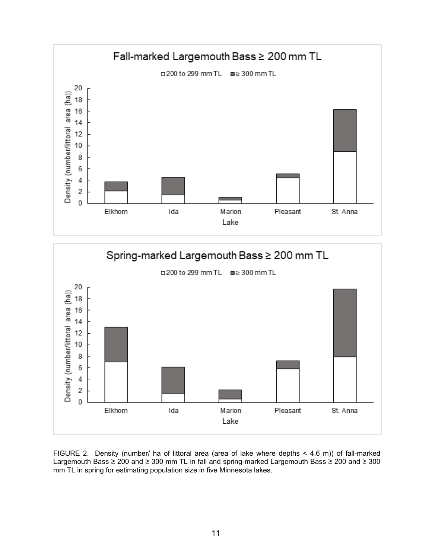



FIGURE 2. Density (number/ ha of littoral area (area of lake where depths < 4.6 m)) of fall-marked Largemouth Bass ≥ 200 and ≥ 300 mm TL in fall and spring-marked Largemouth Bass ≥ 200 and ≥ 300 mm TL in spring for estimating population size in five Minnesota lakes.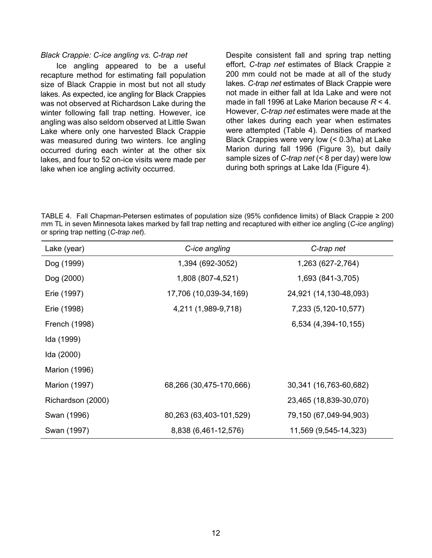#### *Black Crappie: C-ice angling vs. C-trap net*

Ice angling appeared to be a useful recapture method for estimating fall population size of Black Crappie in most but not all study lakes. As expected, ice angling for Black Crappies was not observed at Richardson Lake during the winter following fall trap netting. However, ice angling was also seldom observed at Little Swan Lake where only one harvested Black Crappie was measured during two winters. Ice angling occurred during each winter at the other six lakes, and four to 52 on-ice visits were made per lake when ice angling activity occurred.

Despite consistent fall and spring trap netting effort, *C-trap net* estimates of Black Crappie ≥ 200 mm could not be made at all of the study lakes. *C-trap net* estimates of Black Crappie were not made in either fall at Ida Lake and were not made in fall 1996 at Lake Marion because *R* < 4. However, *C-trap net* estimates were made at the other lakes during each year when estimates were attempted (Table 4). Densities of marked Black Crappies were very low (< 0.3/ha) at Lake Marion during fall 1996 (Figure 3), but daily sample sizes of *C-trap net* (< 8 per day) were low during both springs at Lake Ida (Figure 4).

TABLE 4. Fall Chapman-Petersen estimates of population size (95% confidence limits) of Black Crappie ≥ 200 mm TL in seven Minnesota lakes marked by fall trap netting and recaptured with either ice angling (*C-ice angling*) or spring trap netting (*C-trap net*).

| Lake (year)          | C-ice angling           | C-trap net             |
|----------------------|-------------------------|------------------------|
| Dog (1999)           | 1,394 (692-3052)        | 1,263 (627-2,764)      |
| Dog (2000)           | 1,808 (807-4,521)       | 1,693 (841-3,705)      |
| Erie (1997)          | 17,706 (10,039-34,169)  | 24,921 (14,130-48,093) |
| Erie (1998)          | 4,211 (1,989-9,718)     | 7,233 (5,120-10,577)   |
| French (1998)        |                         | 6,534 (4,394-10,155)   |
| Ida (1999)           |                         |                        |
| Ida (2000)           |                         |                        |
| <b>Marion (1996)</b> |                         |                        |
| <b>Marion (1997)</b> | 68,266 (30,475-170,666) | 30,341 (16,763-60,682) |
| Richardson (2000)    |                         | 23,465 (18,839-30,070) |
| Swan (1996)          | 80,263 (63,403-101,529) | 79,150 (67,049-94,903) |
| Swan (1997)          | 8,838 (6,461-12,576)    | 11,569 (9,545-14,323)  |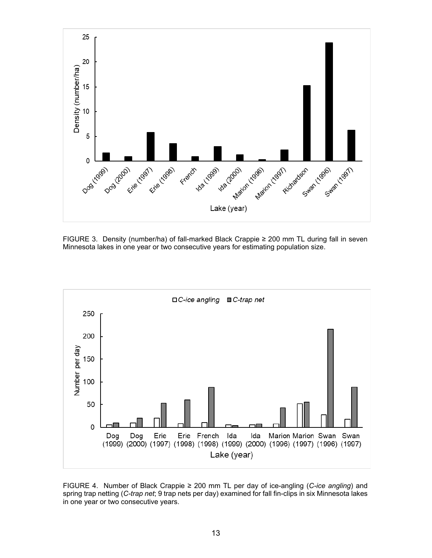

FIGURE 3. Density (number/ha) of fall-marked Black Crappie ≥ 200 mm TL during fall in seven Minnesota lakes in one year or two consecutive years for estimating population size.



FIGURE 4. Number of Black Crappie ≥ 200 mm TL per day of ice-angling (*C-ice angling*) and spring trap netting (*C-trap net*; 9 trap nets per day) examined for fall fin-clips in six Minnesota lakes in one year or two consecutive years.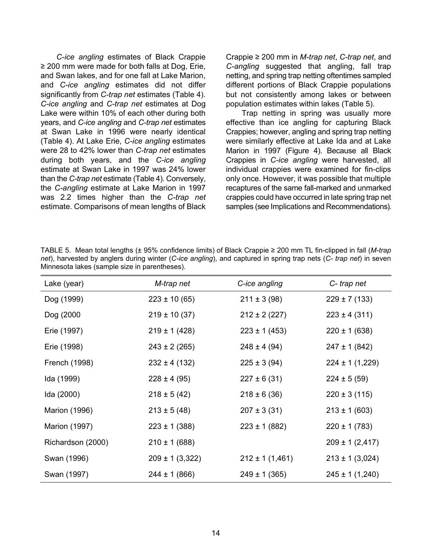*C-ice angling* estimates of Black Crappie ≥ 200 mm were made for both falls at Dog, Erie, and Swan lakes, and for one fall at Lake Marion, and *C-ice angling* estimates did not differ significantly from *C-trap net* estimates (Table 4). *C-ice angling* and *C-trap net* estimates at Dog Lake were within 10% of each other during both years, and *C-ice angling* and *C-trap net* estimates at Swan Lake in 1996 were nearly identical (Table 4). At Lake Erie, *C-ice angling* estimates were 28 to 42% lower than *C-trap net* estimates during both years, and the *C-ice angling* estimate at Swan Lake in 1997 was 24% lower than the *C-trap net* estimate (Table 4). Conversely, the *C-angling* estimate at Lake Marion in 1997 was 2.2 times higher than the *C-trap net* estimate. Comparisons of mean lengths of Black

Crappie ≥ 200 mm in *M-trap net*, *C-trap net*, and *C-angling* suggested that angling, fall trap netting, and spring trap netting oftentimes sampled different portions of Black Crappie populations but not consistently among lakes or between population estimates within lakes (Table 5).

Trap netting in spring was usually more effective than ice angling for capturing Black Crappies; however, angling and spring trap netting were similarly effective at Lake Ida and at Lake Marion in 1997 (Figure 4). Because all Black Crappies in *C-ice angling* were harvested, all individual crappies were examined for fin-clips only once. However, it was possible that multiple recaptures of the same fall-marked and unmarked crappies could have occurred in late spring trap net samples (see Implications and Recommendations).

| Lake (year)          | M-trap net          | C-ice angling       | C-trap net          |
|----------------------|---------------------|---------------------|---------------------|
| Dog (1999)           | $223 \pm 10(65)$    | $211 \pm 3(98)$     | $229 \pm 7(133)$    |
| Dog (2000            | $219 \pm 10(37)$    | $212 \pm 2 (227)$   | $223 \pm 4 (311)$   |
| Erie (1997)          | $219 \pm 1$ (428)   | $223 \pm 1 (453)$   | $220 \pm 1$ (638)   |
| Erie (1998)          | $243 \pm 2 (265)$   | $248 \pm 4 (94)$    | $247 \pm 1 (842)$   |
| French (1998)        | $232 \pm 4 (132)$   | $225 \pm 3(94)$     | $224 \pm 1(1,229)$  |
| Ida (1999)           | $228 \pm 4 (95)$    | $227 \pm 6(31)$     | $224 \pm 5(59)$     |
| Ida (2000)           | $218 \pm 5(42)$     | $218 \pm 6(36)$     | $220 \pm 3(115)$    |
| <b>Marion (1996)</b> | $213 \pm 5(48)$     | $207 \pm 3(31)$     | $213 \pm 1$ (603)   |
| <b>Marion (1997)</b> | $223 \pm 1$ (388)   | $223 \pm 1 (882)$   | $220 \pm 1 (783)$   |
| Richardson (2000)    | $210 \pm 1$ (688)   |                     | $209 \pm 1$ (2,417) |
| Swan (1996)          | $209 \pm 1 (3,322)$ | $212 \pm 1 (1,461)$ | $213 \pm 1$ (3,024) |
| Swan (1997)          | $244 \pm 1$ (866)   | $249 \pm 1$ (365)   | $245 \pm 1(1,240)$  |

TABLE 5. Mean total lengths (± 95% confidence limits) of Black Crappie ≥ 200 mm TL fin-clipped in fall (*M-trap net*), harvested by anglers during winter (*C-ice angling*), and captured in spring trap nets (*C- trap net*) in seven Minnesota lakes (sample size in parentheses).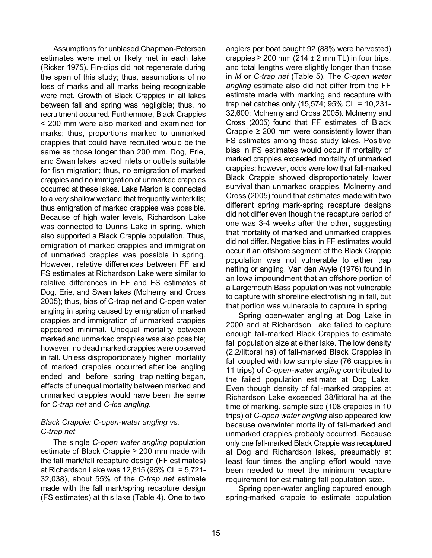Assumptions for unbiased Chapman-Petersen estimates were met or likely met in each lake (Ricker 1975). Fin-clips did not regenerate during the span of this study; thus, assumptions of no loss of marks and all marks being recognizable were met. Growth of Black Crappies in all lakes between fall and spring was negligible; thus, no recruitment occurred. Furthermore, Black Crappies < 200 mm were also marked and examined for marks; thus, proportions marked to unmarked crappies that could have recruited would be the same as those longer than 200 mm. Dog, Erie, and Swan lakes lacked inlets or outlets suitable for fish migration; thus, no emigration of marked crappies and no immigration of unmarked crappies occurred at these lakes. Lake Marion is connected to a very shallow wetland that frequently winterkills; thus emigration of marked crappies was possible. Because of high water levels, Richardson Lake was connected to Dunns Lake in spring, which also supported a Black Crappie population. Thus, emigration of marked crappies and immigration of unmarked crappies was possible in spring. However, relative differences between FF and FS estimates at Richardson Lake were similar to relative differences in FF and FS estimates at Dog, Erie, and Swan lakes (McInerny and Cross 2005); thus, bias of C-trap net and C-open water angling in spring caused by emigration of marked crappies and immigration of unmarked crappies appeared minimal. Unequal mortality between marked and unmarked crappies was also possible; however, no dead marked crappies were observed in fall. Unless disproportionately higher mortality of marked crappies occurred after ice angling ended and before spring trap netting began, effects of unequal mortality between marked and unmarked crappies would have been the same for *C-trap net* and *C-ice angling.* 

### *Black Crappie: C-open-water angling vs. C-trap net*

The single *C-open water angling* population estimate of Black Crappie ≥ 200 mm made with the fall mark/fall recapture design (FF estimates) at Richardson Lake was 12,815 (95% CL = 5,721- 32,038), about 55% of the *C-trap net* estimate made with the fall mark/spring recapture design (FS estimates) at this lake (Table 4). One to two

anglers per boat caught 92 (88% were harvested) crappies  $\geq 200$  mm (214  $\pm$  2 mm TL) in four trips, and total lengths were slightly longer than those in *M* or *C-trap net* (Table 5). The *C-open water angling* estimate also did not differ from the FF estimate made with marking and recapture with trap net catches only (15,574; 95% CL = 10,231- 32,600; McInerny and Cross 2005). McInerny and Cross (2005) found that FF estimates of Black Crappie  $\geq 200$  mm were consistently lower than FS estimates among these study lakes. Positive bias in FS estimates would occur if mortality of marked crappies exceeded mortality of unmarked crappies; however, odds were low that fall-marked Black Crappie showed disproportionately lower survival than unmarked crappies. McInerny and Cross (2005) found that estimates made with two different spring mark-spring recapture designs did not differ even though the recapture period of one was 3-4 weeks after the other, suggesting that mortality of marked and unmarked crappies did not differ. Negative bias in FF estimates would occur if an offshore segment of the Black Crappie population was not vulnerable to either trap netting or angling. Van den Avyle (1976) found in an Iowa impoundment that an offshore portion of a Largemouth Bass population was not vulnerable to capture with shoreline electrofishing in fall, but that portion was vulnerable to capture in spring.

Spring open-water angling at Dog Lake in 2000 and at Richardson Lake failed to capture enough fall-marked Black Crappies to estimate fall population size at either lake. The low density (2.2/littoral ha) of fall-marked Black Crappies in fall coupled with low sample size (76 crappies in 11 trips) of *C-open-water angling* contributed to the failed population estimate at Dog Lake. Even though density of fall-marked crappies at Richardson Lake exceeded 38/littoral ha at the time of marking, sample size (108 crappies in 10 trips) of *C-open water angling* also appeared low because overwinter mortality of fall-marked and unmarked crappies probably occurred. Because only one fall-marked Black Crappie was recaptured at Dog and Richardson lakes, presumably at least four times the angling effort would have been needed to meet the minimum recapture requirement for estimating fall population size.

Spring open-water angling captured enough spring-marked crappie to estimate population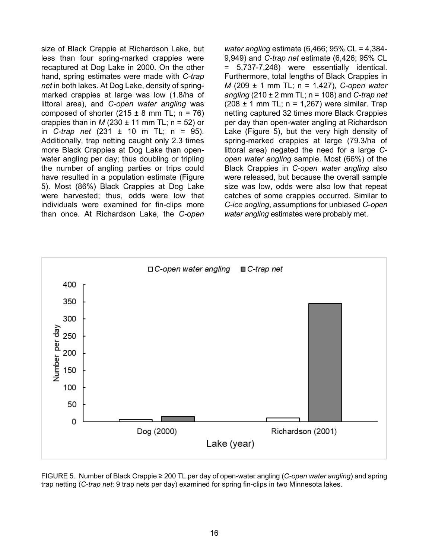size of Black Crappie at Richardson Lake, but less than four spring-marked crappies were recaptured at Dog Lake in 2000. On the other hand, spring estimates were made with *C-trap net* in both lakes. At Dog Lake, density of springmarked crappies at large was low (1.8/ha of littoral area), and *C-open water angling* was composed of shorter  $(215 \pm 8 \text{ mm} \text{ T L}; \text{ n} = 76)$ crappies than in  $M$  (230  $\pm$  11 mm TL; n = 52) or in *C-trap net* (231 ± 10 m TL; n = 95). Additionally, trap netting caught only 2.3 times more Black Crappies at Dog Lake than openwater angling per day; thus doubling or tripling the number of angling parties or trips could have resulted in a population estimate (Figure 5). Most (86%) Black Crappies at Dog Lake were harvested; thus, odds were low that individuals were examined for fin-clips more than once. At Richardson Lake, the *C-open*  *water angling* estimate (6,466; 95% CL = 4,384- 9,949) and *C-trap net* estimate (6,426; 95% CL = 5,737-7,248) were essentially identical. Furthermore, total lengths of Black Crappies in *M* (209 ± 1 mm TL; n = 1,427), *C-open water angling* (210 ± 2 mm TL; n = 108) and *C-trap net*  $(208 \pm 1 \text{ mm} \text{ TL}; n = 1,267)$  were similar. Trap netting captured 32 times more Black Crappies per day than open-water angling at Richardson Lake (Figure 5), but the very high density of spring-marked crappies at large (79.3/ha of littoral area) negated the need for a large *Copen water angling* sample. Most (66%) of the Black Crappies in *C-open water angling* also were released, but because the overall sample size was low, odds were also low that repeat catches of some crappies occurred. Similar to *C-ice angling*, assumptions for unbiased *C-open water angling* estimates were probably met.



FIGURE 5. Number of Black Crappie ≥ 200 TL per day of open-water angling (*C-open water angling*) and spring trap netting (*C-trap net*; 9 trap nets per day) examined for spring fin-clips in two Minnesota lakes.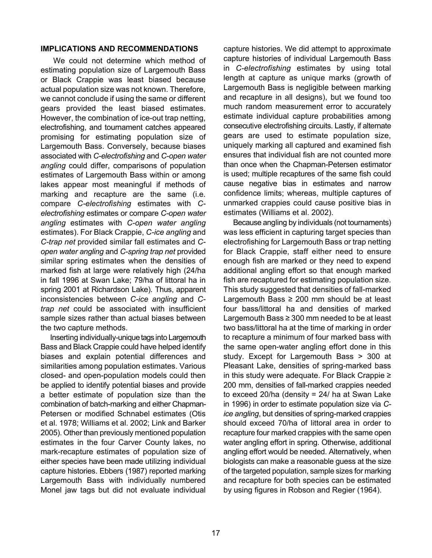#### **IMPLICATIONS AND RECOMMENDATIONS**

We could not determine which method of estimating population size of Largemouth Bass or Black Crappie was least biased because actual population size was not known. Therefore, we cannot conclude if using the same or different gears provided the least biased estimates. However, the combination of ice-out trap netting, electrofishing, and tournament catches appeared promising for estimating population size of Largemouth Bass. Conversely, because biases associated with *C-electrofishing* and *C-open water angling* could differ, comparisons of population estimates of Largemouth Bass within or among lakes appear most meaningful if methods of marking and recapture are the same (i.e. compare *C-electrofishing* estimates with *Celectrofishing* estimates or compare *C-open water angling* estimates with *C-open water angling* estimates). For Black Crappie, *C-ice angling* and *C-trap net* provided similar fall estimates and *Copen water angling* and *C-spring trap net* provided similar spring estimates when the densities of marked fish at large were relatively high (24/ha in fall 1996 at Swan Lake; 79/ha of littoral ha in spring 2001 at Richardson Lake). Thus, apparent inconsistencies between *C-ice angling* and *Ctrap net* could be associated with insufficient sample sizes rather than actual biases between the two capture methods.

Inserting individually-unique tags into Largemouth Bass and Black Crappie could have helped identify biases and explain potential differences and similarities among population estimates. Various closed- and open-population models could then be applied to identify potential biases and provide a better estimate of population size than the combination of batch-marking and either Chapman-Petersen or modified Schnabel estimates (Otis et al. 1978; Williams et al. 2002; Link and Barker 2005). Other than previously mentioned population estimates in the four Carver County lakes, no mark-recapture estimates of population size of either species have been made utilizing individual capture histories. Ebbers (1987) reported marking Largemouth Bass with individually numbered Monel jaw tags but did not evaluate individual

capture histories. We did attempt to approximate capture histories of individual Largemouth Bass in *C-electrofishing* estimates by using total length at capture as unique marks (growth of Largemouth Bass is negligible between marking and recapture in all designs), but we found too much random measurement error to accurately estimate individual capture probabilities among consecutive electrofishing circuits. Lastly, if alternate gears are used to estimate population size, uniquely marking all captured and examined fish ensures that individual fish are not counted more than once when the Chapman-Petersen estimator is used; multiple recaptures of the same fish could cause negative bias in estimates and narrow confidence limits; whereas, multiple captures of unmarked crappies could cause positive bias in estimates (Williams et al. 2002).

Because angling by individuals (not tournaments) was less efficient in capturing target species than electrofishing for Largemouth Bass or trap netting for Black Crappie, staff either need to ensure enough fish are marked or they need to expend additional angling effort so that enough marked fish are recaptured for estimating population size. This study suggested that densities of fall-marked Largemouth Bass  $\geq 200$  mm should be at least four bass/littoral ha and densities of marked Largemouth Bass ≥ 300 mm needed to be at least two bass/littoral ha at the time of marking in order to recapture a minimum of four marked bass with the same open-water angling effort done in this study. Except for Largemouth Bass > 300 at Pleasant Lake, densities of spring-marked bass in this study were adequate. For Black Crappie ≥ 200 mm, densities of fall-marked crappies needed to exceed 20/ha (density = 24/ ha at Swan Lake in 1996) in order to estimate population size via *Cice angling*, but densities of spring-marked crappies should exceed 70/ha of littoral area in order to recapture four marked crappies with the same open water angling effort in spring. Otherwise, additional angling effort would be needed. Alternatively, when biologists can make a reasonable guess at the size of the targeted population, sample sizes for marking and recapture for both species can be estimated by using figures in Robson and Regier (1964).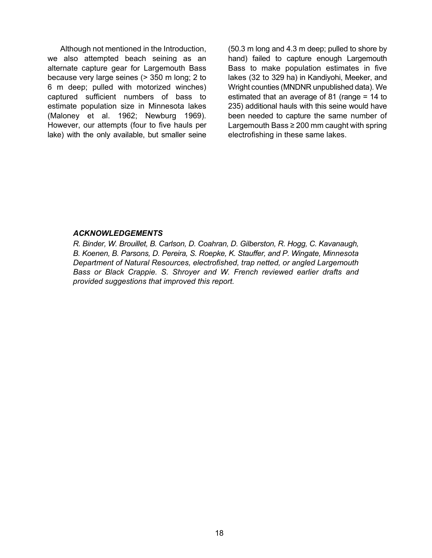Although not mentioned in the Introduction, we also attempted beach seining as an alternate capture gear for Largemouth Bass because very large seines (> 350 m long; 2 to 6 m deep; pulled with motorized winches) captured sufficient numbers of bass to estimate population size in Minnesota lakes (Maloney et al. 1962; Newburg 1969). However, our attempts (four to five hauls per lake) with the only available, but smaller seine

(50.3 m long and 4.3 m deep; pulled to shore by hand) failed to capture enough Largemouth Bass to make population estimates in five lakes (32 to 329 ha) in Kandiyohi, Meeker, and Wright counties (MNDNR unpublished data). We estimated that an average of 81 (range = 14 to 235) additional hauls with this seine would have been needed to capture the same number of Largemouth Bass ≥ 200 mm caught with spring electrofishing in these same lakes.

#### *ACKNOWLEDGEMENTS*

*R. Binder, W. Brouillet, B. Carlson, D. Coahran, D. Gilberston, R. Hogg, C. Kavanaugh, B. Koenen, B. Parsons, D. Pereira, S. Roepke, K. Stauffer, and P. Wingate, Minnesota Department of Natural Resources, electrofished, trap netted, or angled Largemouth Bass or Black Crappie. S. Shroyer and W. French reviewed earlier drafts and provided suggestions that improved this report.*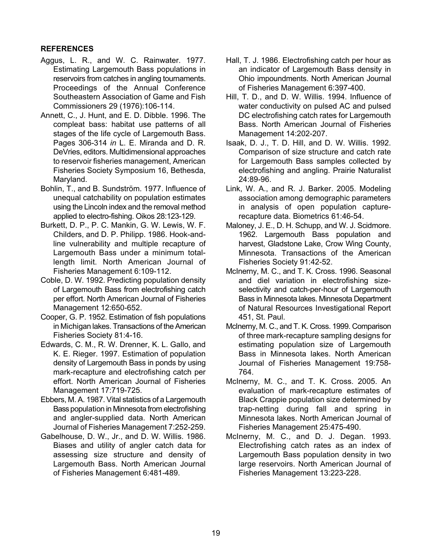## **REFERENCES**

- Aggus, L. R., and W. C. Rainwater. 1977. Estimating Largemouth Bass populations in reservoirs from catches in angling tournaments. Proceedings of the Annual Conference Southeastern Association of Game and Fish Commissioners 29 (1976):106-114.
- Annett, C., J. Hunt, and E. D. Dibble. 1996. The compleat bass: habitat use patterns of all stages of the life cycle of Largemouth Bass. Pages 306-314 *in* L. E. Miranda and D. R. DeVries, editors. Multidimensional approaches to reservoir fisheries management, American Fisheries Society Symposium 16, Bethesda, Maryland.
- Bohlin, T., and B. Sundström. 1977. Influence of unequal catchability on population estimates using the Lincoln index and the removal method applied to electro-fishing. Oikos 28:123-129.
- Burkett, D. P., P. C. Mankin, G. W. Lewis, W. F. Childers, and D. P. Philipp. 1986. Hook-andline vulnerability and multiple recapture of Largemouth Bass under a minimum totallength limit. North American Journal of Fisheries Management 6:109-112.
- Coble, D. W. 1992. Predicting population density of Largemouth Bass from electrofishing catch per effort. North American Journal of Fisheries Management 12:650-652.
- Cooper, G. P. 1952. Estimation of fish populations in Michigan lakes. Transactions of the American Fisheries Society 81:4-16.
- Edwards, C. M., R. W. Drenner, K. L. Gallo, and K. E. Rieger. 1997. Estimation of population density of Largemouth Bass in ponds by using mark-recapture and electrofishing catch per effort. North American Journal of Fisheries Management 17:719-725.
- Ebbers, M. A. 1987. Vital statistics of a Largemouth Bass population in Minnesota from electrofishing and angler-supplied data. North American Journal of Fisheries Management 7:252-259.
- Gabelhouse, D. W., Jr., and D. W. Willis. 1986. Biases and utility of angler catch data for assessing size structure and density of Largemouth Bass. North American Journal of Fisheries Management 6:481-489.
- Hall, T. J. 1986. Electrofishing catch per hour as an indicator of Largemouth Bass density in Ohio impoundments. North American Journal of Fisheries Management 6:397-400.
- Hill, T. D., and D. W. Willis. 1994. Influence of water conductivity on pulsed AC and pulsed DC electrofishing catch rates for Largemouth Bass. North American Journal of Fisheries Management 14:202-207.
- Isaak, D. J., T. D. Hill, and D. W. Willis. 1992. Comparison of size structure and catch rate for Largemouth Bass samples collected by electrofishing and angling. Prairie Naturalist 24:89-96.
- Link, W. A., and R. J. Barker. 2005. Modeling association among demographic parameters in analysis of open population capturerecapture data. Biometrics 61:46-54.
- Maloney, J. E., D. H. Schupp, and W. J. Scidmore. 1962. Largemouth Bass population and harvest, Gladstone Lake, Crow Wing County, Minnesota. Transactions of the American Fisheries Society 91:42-52.
- McInerny, M. C., and T. K. Cross. 1996. Seasonal and diel variation in electrofishing sizeselectivity and catch-per-hour of Largemouth Bass in Minnesota lakes. Minnesota Department of Natural Resources Investigational Report 451, St. Paul.
- McInerny, M. C., and T. K. Cross. 1999. Comparison of three mark-recapture sampling designs for estimating population size of Largemouth Bass in Minnesota lakes. North American Journal of Fisheries Management 19:758- 764.
- McInerny, M. C., and T. K. Cross. 2005. An evaluation of mark-recapture estimates of Black Crappie population size determined by trap-netting during fall and spring in Minnesota lakes. North American Journal of Fisheries Management 25:475-490.
- McInerny, M. C., and D. J. Degan. 1993. Electrofishing catch rates as an index of Largemouth Bass population density in two large reservoirs. North American Journal of Fisheries Management 13:223-228.